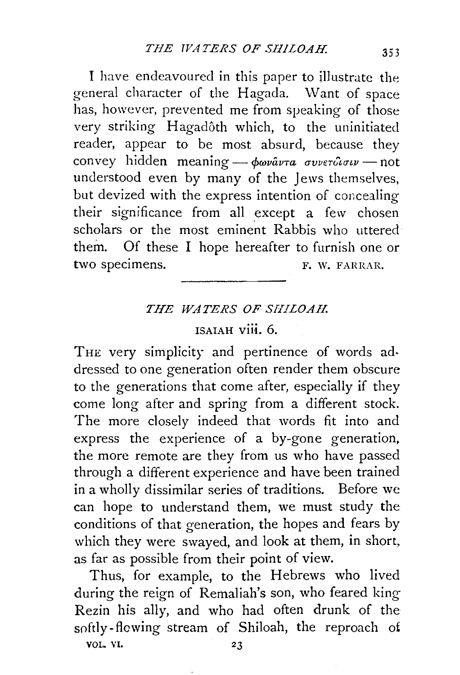I have endeavoured in this paper to illustrate the general character of the Hagada. \Vant of space has, however, prevented me from speaking of those very striking Hagadôth which, to the uninitiated reader, appear to be most absurd, because they convey hidden meaning - φωναντα συνετδισιν - not understood even by many of the Jews themselves, but devized with the express intention of concealing their significance from all except a few chosen scholars or the most eminent Rabbis who uttered them. Of these I hope hereafter to furnish one or two specimens. F. W. FARRAR.

## *THE WATERS OF SHILOAH.*

## ISAIAH viii. 6.

THE very simplicity and pertinence of words addressed to one generation often render them obscure to the generations that come after, especially if they come long after and spring from a different stock. The more closely indeed that words fit into and express the experience of a by-gone generation, the more remote are they from us who have passed through a different experience and have been trained in a wholly dissimilar series of traditions. Before we can hope to understand them, we must study the conditions of that generation, the hopes and fears by which they were swayed, and look at them, in short, as far as possible from their point of view.

Thus, for example, to the Hebrews who lived during the reign of Remaliah's son, who feared king Rezin his ally, and who had often drunk of the softly- flowing stream of Shiloah, the reproach of

VOL. VI.  $23$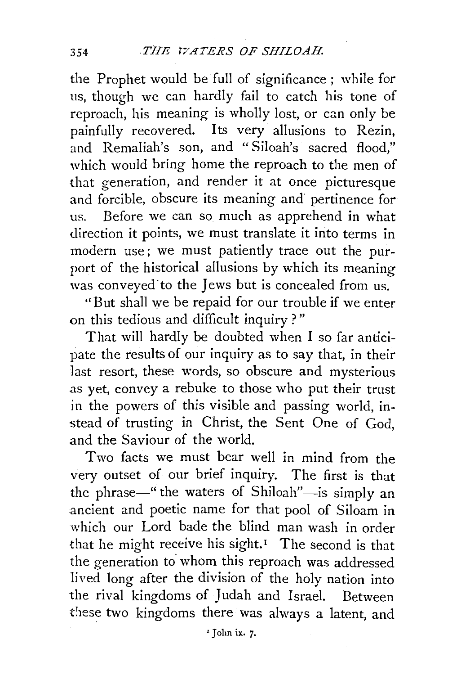the Prophet would be full of significance ; while for us, though we can hardly fail to catch his tone of reproach, his meaning is wholly lost, or can only be painfully recovered. Its very allusions to Rezin, and Remaliah's son, and "Siloah's sacred flood," which would bring home the reproach to the men of that generation, and render it at once picturesque and forcible, obscure its meaning and pertinence for us. Before we can so much as apprehend in what direction it points, we must translate it into terms in modern use; we must patiently trace out the purport of the historical allusions by which its meaning was conveved to the Jews but is concealed from us.

''But shall we be repaid for our trouble if we enter on this tedious and difficult inquiry?"

That will hardly be doubted when I so far anticipate the results of our inquiry as to say that, in their last resort, these words, so obscure and mysterious .as yet, convey a rebuke to those who put their trust in the powers of this visible and passing world, instead of trusting in Christ, the Sent One of God, and the Saviour of the world.

Two facts we must bear well in mind from the very outset of our brief inquiry. The first is that the phrase—" the waters of Shiloah"—is simply an .ancient and poetic name for that pool of Siloam in which our Lord bade the blind man wash in order that he might receive his sight.<sup> $I$ </sup> The second is that the generation to whom this reproach was addressed lived long after the division of the holy nation into the rival kingdoms of Judah and Israel. Between these two kingdoms there was always a latent, and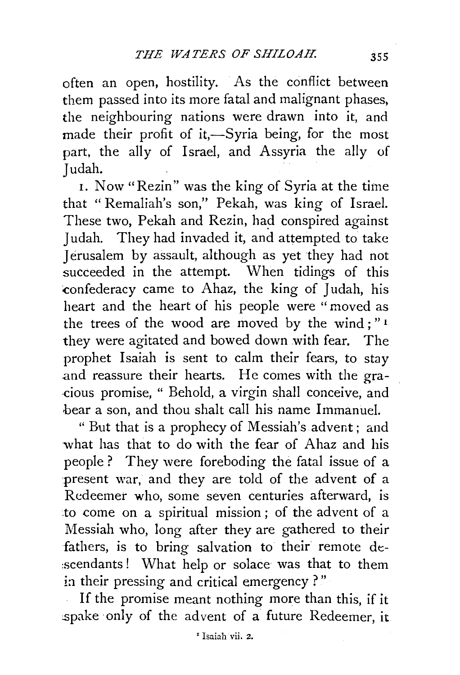often an open, hostility. As the conflict between them passed into its more fatal and malignant phases, the neighbouring nations were drawn into it, and made their profit of it,-Syria being, for the most part, the ally of Israel, and Assyria the ally of Judah.

1. Now "Rezin" was the king of Syria at the time that "Remaliah's son," Pekah, was king of Israel. These two, Pekah and Rezin, had conspired against Judah. They had invaded it, and attempted to take Jerusalem by assault, although as yet they had not succeeded in the attempt. When tidings of this confederacy came to Ahaz, the king of Judah, his heart and the heart of his people were " moved as the trees of the wood are moved by the wind ; " 1 they were agitated and bowed down with fear. The prophet Isaiah is sent to calm their fears, to stay and reassure their hearts. He comes with the gra- ·cious promise, " Behold, a virgin shall conceive, and bear a son, and thou shalt call his name Immanuel.

"But that is a prophecy of Messiah's advent; and what has that to do with the fear of Ahaz and his people ? They were foreboding the fatal issue of a present war, and they are told of the advent of a Redeemer who, some seven centuries afterward, is to come on a spiritual mission ; of the advent of a Messiah who, long after they are gathered to their fathers, is to bring salvation to their remote de- :scendants ! What help or solace was that to them in their pressing and critical emergency ?"

If the promise meant nothing more than this, if it spake only of the advent of a future Redeemer, it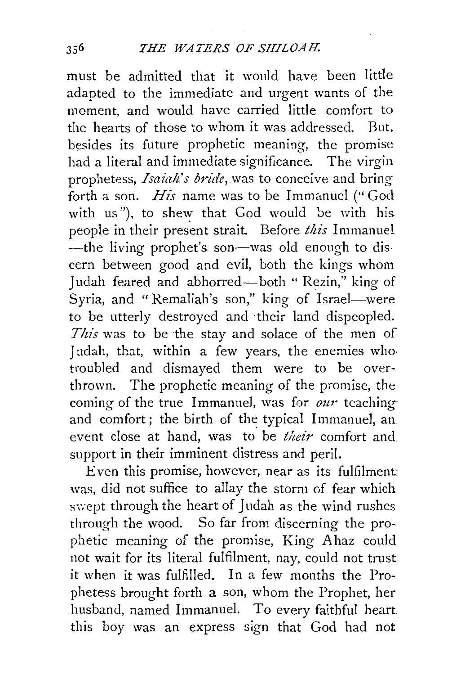must be admitted that it would have been little adapted to the immediate and urgent wants of the moment, and would have carried little comfort to the hearts of those to whom it was addressed. But, besides its future prophetic meaning, the promise had a literal and immediate significance. The virgin prophetess, *Isaiah's bride,* was to conceive and bring forth a son. *His* name was to be Immanuel ("God with us"), to shew that God would be with his people in their present strait. Before *this* Immanuel -the living prophet's son-was old enough to discern between good and evil, both the kings whom Judah feared and abhorred-both " Rezin," king of Syria, and "Remaliah's son," king of Israel-were to be utterly destroyed and their land dispeopled. This was to be the stay and solace of the men of Judah, that, within a few years, the enemies who troubled and dismayed them were to be overthrown. The prophetic meaning of the promise, the coming of the true Immanuel, was for *our* teaching and comfort; the birth of the typical Immanuel, an event close at hand, was to' be *their* comfort and support in their imminent distress and peril.

Even this promise, however, near as its fulfilment was, did not suffice to allay the storm of fear which swept through the heart of Judah as the wind rushes through the wood. So far from discerning the prophetic meaning of the promise, King A haz could not wait for its literal fulfilment, nay, could not trust it when it was fulfilled. In a few months the Prophetess brought forth a son, whom the Prophet, her husband, named Immanuel. To every faithful heart. this boy was an express sign that God had not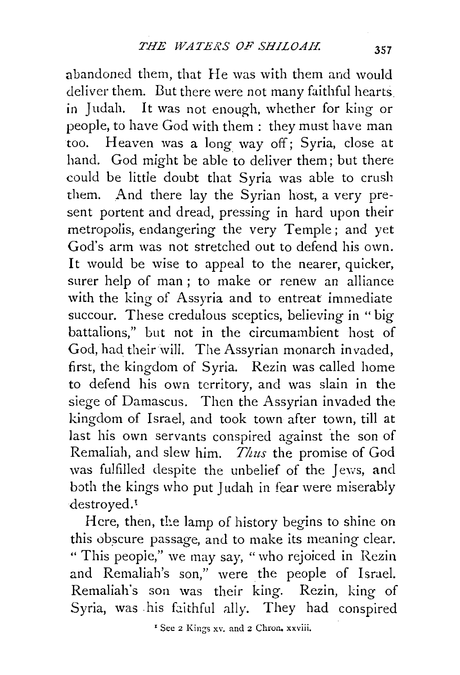abandoned them, that He was with them and would deliver them. But there were not many faithful hearts. in Judah. It was not enough, whether for king or people, to have God with them: they must have man too. Heaven was a long way off; Syria, close at hand. God might be able to deliver them; but there could be little doubt that Syria was able to crush them. And there lay the Syrian host, a very present portent and dread, pressing in hard upon their metropolis, endangering the very Temple ; and yet God's arm was not stretched out to defend his own. It would be wise to appeal to the nearer, quicker, surer help of man ; to make or renew an alliance with the king of Assyria and to entreat immediate succour. These credulous sceptics, believing in " big battalions," but not in the circumambient host of God, had their will. The Assyrian monarch invaded, first, the kingdom of Syria. Rezin was called home to defend his own territory, and was slain in the siege of Damascus. Then the Assyrian invaded the kingdom of Israel, and took town after town, till at last his own servants conspired against the son of Remaliah, and slew him. *Thus* the promise of God was fulfilled despite the unbelief of the Jews, and both the kings who put Judah in fear were miserably destroyed.<sup>1</sup>

Here, then, the lamp of history begins to shine on this obscure passage, and to make its meaning clear. " This peopie," we may say, "who rejoiced in Rezin and Remaliah's son," were the people of Israel. Remaliah's son was their king. Rezin, king of Syria, was his faithful ally. They had conspired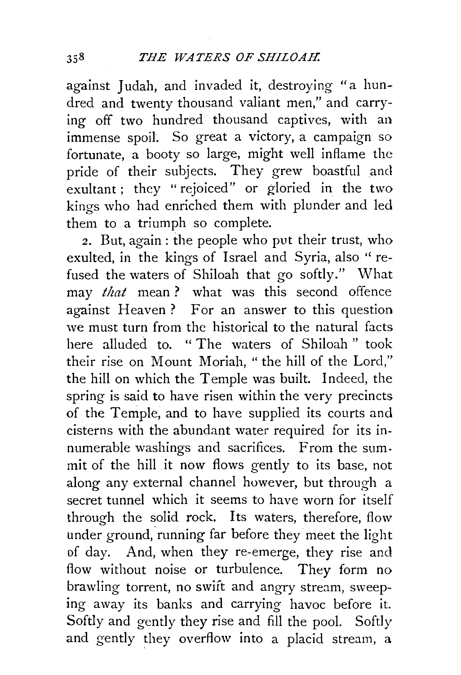against Judah, and invaded it, destroying "a hundred and twenty thousand valiant men," and carrying off two hundred thousand captives, with an immense spoil. So great a victory, a campaign so fortunate, a booty so large, might well inflame the pride of their subjects. They grew boastful and exultant; they "rejoiced" or gloried in the two kings who had enriched them with plunder and led them to a triumph so complete.

*2.* But, again : the people who put their trust, who exulted, in the kings of Israel and Syria, also "refused the waters of Shiloah that go softly." What may *that* mean ? what was this second offence against Heaven? For an answer to this question we must turn from the historical to the natural facts here alluded to. " The waters of Shiloah " took their rise on Mount Moriah, " the hill of the Lord," the hill on which the Temple was built. Indeed, the spring is said to have risen within the very precincts of the Temple, and to have supplied its courts and cisterns with the abundant water required for its innumerable washings and sacrifices. From the sum. mit of the hill it now flows gently to its base, not along any external channel however, but through a secret tunnel which it seems to have worn for itself through the solid rock. Its waters, therefore, flow under ground, running far before they meet the light of day. And, when they re-emerge, they rise and flow without noise or turbulence. They form no brawling torrent, no swift and angry stream, sweeping away its banks and carrying havoc before it. Softly and gently they rise and fill the pool. Softly and gently they overflow into a placid stream, a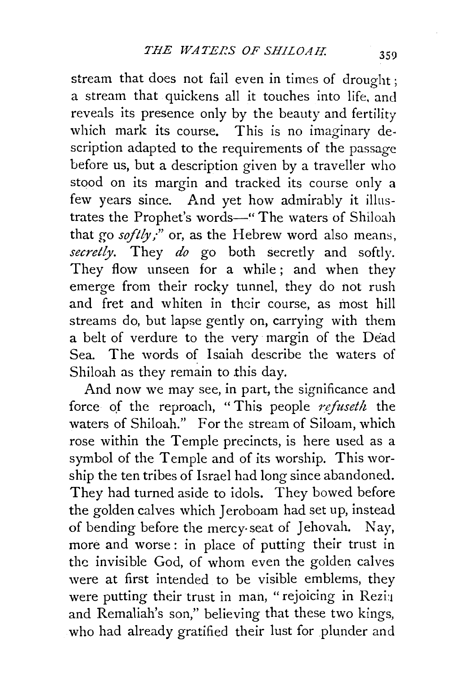stream that does not fail even in times of drought; a stream that quickens all it touches into life. and reveals its presence only by the beauty and fertility which mark its course. This is no imaginary description adapted to the requirements of the passage before us, but a description given by a traveller who stood on its margin and tracked its course only a few years since. And yet how admirably it illustrates the Prophet's words-" The waters of Shiloah that go *softly*;" or, as the Hebrew word also means. *secretly.* They *do* go both secretly and softly. They flow unseen for a while; and when they emerge from their rocky tunnel, they do not rush and fret and whiten in their course, as most hill streams do, but lapse gently on, carrying with them a belt of verdure to the very margin of the Dead Sea. The words of Isaiah describe the waters of Shiloah as they remain to this day.

And now we may see, in part, the significance and force of the reproach, "This people *refuseth* the waters of Shiloah." For the stream of Siloam, which rose within the Temple precincts, is here used as a symbol of the Temple and of its worship. This worship the ten tribes of Israel had long since abandoned. They had turned aside to idols. They bowed before the golden calves which Jeroboam had set up, instead of bending before the mercy-seat of Jehovah. Nay, more and worse : in place of putting their trust in the invisible God, of whom even the golden calves were at first intended to be visible emblems, they were putting their trust in man, "rejoicing in Rezi: and Remaliah's son," believing that these two kings, who had already gratified their lust for plunder and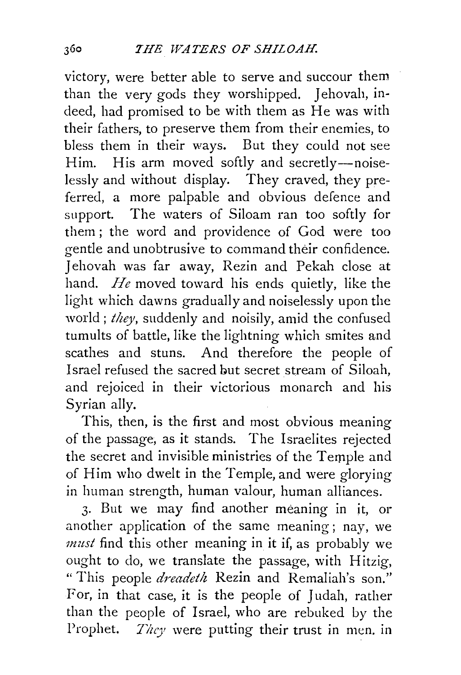victory, were better able to serve and succour them than the very gods they worshipped. Jehovah, indeed, had promised to be with them as He was with their fathers, to preserve them from their enemies, to bless them in their ways. But they could not see Him. His arm moved softly and secretly--noiselessly and without display. They craved, they preferred, a more palpable and obvious defence and support. The waters of Siloam ran too softly for them ; the word and providence of God were too gentle and unobtrusive to command their confidence. Jehovah was far away, Rezin and Pekah close at hand. *He* moved toward his ends quietly, like the light which dawns gradually and noiselessly upon the world; *they,* suddenly and noisily, amid the confused tumults of battle, like the lightning which smites and scathes and stuns. And therefore the people of Israel refused the sacred but secret stream of Siloah, and rejoiced in their victorious monarch and his Syrian ally.

This, then, is the first and most obvious meaning of the passage; as it stands. The Israelites rejected the secret and invisible ministries of the Temple and of Him who dwelt in the Temple, and were glorying in human strength, human valour, human alliances.

3· But we may find another meaning in it, or another application of the same meaning; nay, we *must* find this other meaning in it if, as probably we ought to do, we translate the passage, with Hitzig, "This people *dreadeth* Rezin and Remaliah's son." For, in that case, it is the people of Judah, rather than the people of Israel, who are rebuked by the Prophet. *They* were putting their trust in men. in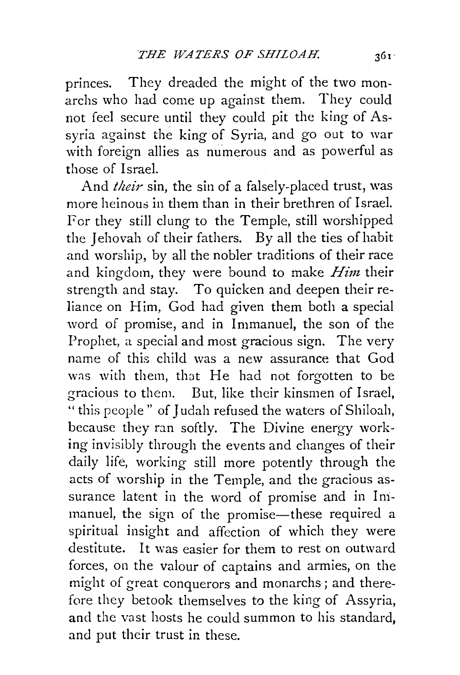princes. They dreaded the might of the two monarchs who had come up against them. They could not feel secure until they could pit the king of Assyria against the king of Syria, and go out to war with foreign allies as numerous and as powerful as those of Israel.

And *their* sin, the sin of a falsely-placed trust, was more heinous in them than in their brethren of Israel. Fer they still clung to the Temple, still worshipped the Jehovah of their fathers. By all the ties of habit and worship, by all the nobler traditions of their race and kingdom, they were bound to make *Him* their strength and stay. To quicken and deepen their reliance on Him, God had given them both a special word of promise, and in Immanuel, the son of the Prophet, a special and most gracious sign. The very name of this child was a new assurance that God was with them, that He had not forgotten to be gracious to them. But, like their kinsmen of Israel, "this people" of Judah refused the waters of Shiloah, because they ran softly. The Divine energy working invisibly through the events and changes of their daily life, working still more potently through the acts of worship in the Temple, and the gracious assurance latent in the word of promise and in Immanuel, the sign of the promise-these required a spiritual insight and affection of which they were destitute. It was easier for them to rest on outward forces, on the valour of captains and armies, on the might of great conquerors and monarchs; and therefore they betook themselves to the king of Assyria, and the vast hosts he could summon to his standard, and put their trust in these.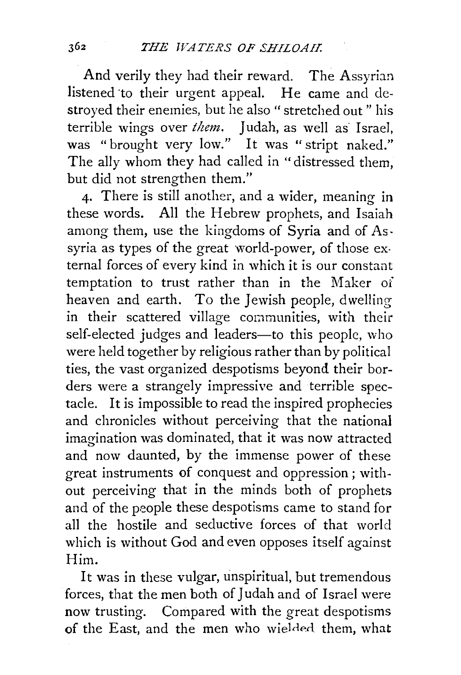And verily they had their reward. The Assyrian listened 'to their urgent appeal. He came and destroyed their enemies, but he also " stretched out " his terrible wings over *them*. Judah, as well as Israel, was "brought very low." It was "stript naked." The ally whom they had called in "distressed them, but did not strengthen them."

4· There is still another, and a wider, meaning in these words. All the Hebrew prophets, and Isaiah among them, use the kingdoms of Syria and of As. syria as types of the great world-power, of those external forces of every kind in which it is our constant temptation to trust rather than in the Maker of heaven and earth. To the Jewish people, dwelling in their scattered village communities, with their self-elected judges and leaders-to this people, who were held together by religious rather than by political ties, the vast organized despotisms beyond their borders were a strangely impressive and terrible spectacle. It is impossible to read the inspired prophecies and chronicles without perceiving that the national imagination was dominated, that it was now attracted and now daunted, by the immense power of these great instruments of conquest and oppression; without perceiving that in the minds both of prophets and of the people these despotisms came to stand for all the hostile and seductive forces of that world which is without God and even opposes itself against Him.

It was in these vulgar, unspiritual, but tremendous forces, that the men both of Judah and of Israel were now trusting. Compared with the great despotisms of the East, and the men who wielded them, what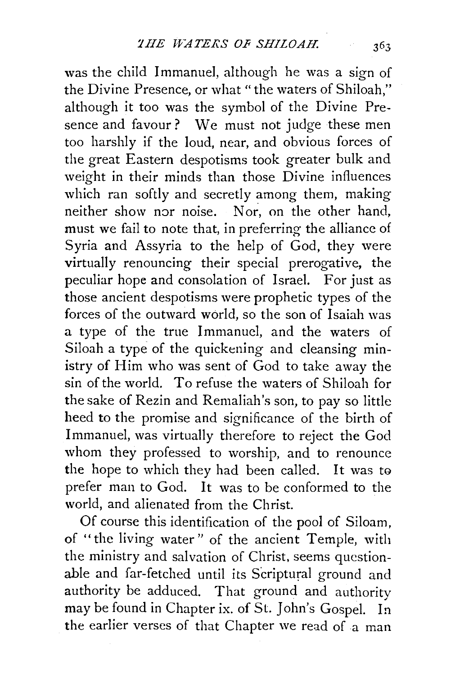was the child Immanuel, although he was a sign of the Divine Presence, or what "the waters of Shiloah," although it too was the symbol of the Divine Presence and favour? We must not judge these men too harshly if the loud, near, and obvious forces of the great Eastern despotisms took greater bulk and weight in their minds than those Divine influences which ran softly and secretly among them, making neither show nor noise. Nor, on the other hand, must we fail to note that, in preferring the alliance of Syria and Assyria to the help of God, they were virtually renouncing their special prerogative, the peculiar hope and consolation of Israel. For just as those ancient despotisms were prophetic types of the forces of the outward world, so the son of Isaiah was a type of the true Immanuel, and the waters of Siloah a type of the quickening and cleansing ministry of Him who was sent of God to take away the sin of the world. To refuse the waters of Shiloah for the sake of Rezin and Remaliah's son, to pay so little heed to the promise and significance of the birth of Immanuel, was virtually therefore to reject the God whom they professed to worship, and to renounce the hope to which they had been called. It was to prefer man to God. It was to be conformed to the world, and alienated from the Christ.

Of course this identification of the pool of Siloam, of "the living water" of the ancient Temple, with the ministry and salvation of Christ, seems questionable and far-fetched until its Scriptural ground and authority be adduced. That ground and authority may be found in Chapter ix. of St. John's Gospel. In the earlier verses of that Chapter we read of a man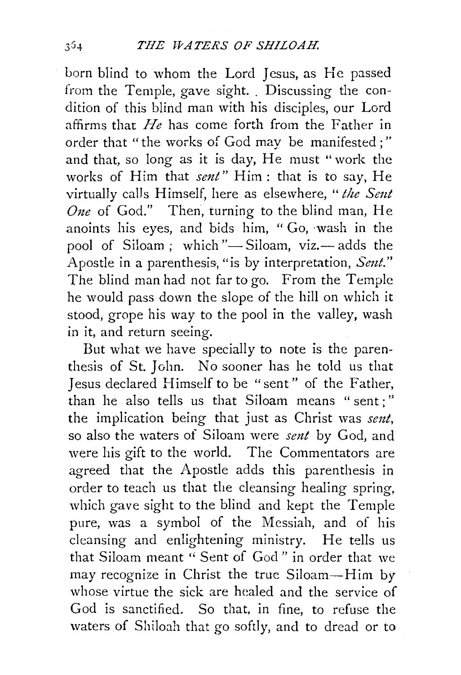born biind to whom the Lord Jesus, as He passed from the Temple, gave sight. Discussing the condition of this blind man with his disciples, our Lord affirms that *He* has come forth from the Father in order that "the works of God may be manifested ; " and that, so long as it is day, He must "work the works of Him that *sent"* Him: that is to say, He virtually calls Himself, here as elsewhere, *"the Sent*  One of God." Then, turning to the blind man, He anoints his eyes, and bids him, "Go, wash in the pool of Siloam; which "- Siloam, viz.- adds the Apostle in a parenthesis, "is by interpretation, *Sent."*  The blind man had not far to go. From the Temple he would pass down the slope of the hill on which it stood, grope his way to the pool in the valley, wash in it, and return seeing.

But what we have specially to note is the parenthesis of St. John. No sooner has he told us that Jesus declared Himself to be " sent " of the Father, than he also tells us that Siloam means " sent ; " the implication being that just as Christ was *sent,*  so also the waters of Siloam were *sent* by God, and were his gift to the world. The Commentators are agreed that the Apostle adds this parenthesis in order to teach us that the cleansing healing spring, which gave sight to the blind and kept the Temple pure, was a symbol of the Messiah, and of his cleansing and enlightening ministry. He tells us that Siloam meant '' Sent of God " in order that we may recognize in Christ the true Siloam-Him by whose virtue the sick are healed and the service of God is sanctified. So that, in fine, to refuse the waters of Shiloah that go softly, and to dread or to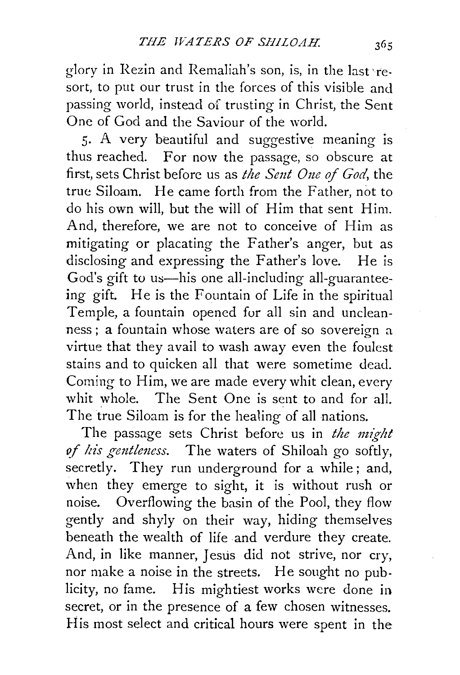glory in Rezin and Remaliah's son, is, in the last ·resort, to put our trust in the forces of this visible and passing world, instead of trusting in Christ, the Sent One of God and the Saviour of the world.

5· A very beautiful and suggestive meaning is thus reached. For now the passage, so obscure at first, sets Christ before us as *the Seut One of God,* the true Siloam. He came forth from the Father, not to do his own will, but the will of Him that sent Him. And, therefore, we are not to conceive of Him as mitigating or placating the Father's anger, but as disclosing and expressing the Father's love. He is God's gift to us—his one all-including all-guaranteeing gift. He is the Fountain of Life in the spiritual Temple, a fountain opened for all sin and uncleanness; a fountain whose waters are of so sovereign a virtue that they avail to wash away even the foulest stains and to quicken all that were sometime dead. Coming to Him, we are made every whit clean, every whit whole. The Sent One is sent to and for all. The true Siloam is for the healing of all nations.

The passage sets Christ before us in *the might of his gentlmess.* The waters of Shiloah go softly, secretly. They run underground for a while; and, when they emerge to sight, it is without rush or noise. Overflowing the basin of the Pool, they flow gently and shyly on their way, hiding themselves beneath the wealth of life and verdure they create. And, in like manner, Jesus did not strive, nor cry, nor make a noise in the streets. He sought no publicity, no fame. His mightiest works were done in secret, or in the presence of a few chosen witnesses. His most select and critical hours were spent in the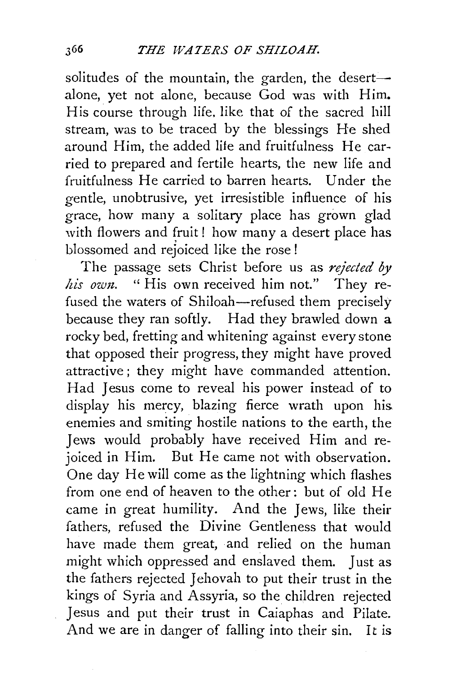solitudes of the mountain, the garden, the desertalone, yet not alone, because God was with Him. His course through life. like that of the sacred hill stream, was to be traced by the blessings He shed around Him, the added life and fruitfulness He carried to prepared and fertile hearts, the new life and fruitfulness He carried to barren hearts. Under the gentle, unobtrusive, yet irresistible influence of his grace, how many a solitary place has grown glad with flowers and fruit! how many a desert place has blossomed and rejoiced like the rose !

The passage sets Christ before us as *rejected* by his own. "His own received him not." They refused the waters of Shiloah-refused them precisely because they ran softly. Had they brawled down a rocky bed, fretting and whitening against every stone that opposed their progress, they might have proved attractive ; they might have commanded attention. Had Jesus come to reveal his power instead of to display his mercy, blazing fierce wrath upon hisenemies and smiting hostile nations to the earth, the Jews would probably have received Him and rejoiced in Him. But He came not with observation. One day He will come as the lightning which flashes from one end of heaven to the other: but of old He came in great humility. And the Jews, like their fathers, refused the Divine Gentleness that would have made them great, and relied on the human might which oppressed and enslaved them. Just as the fathers rejected Jehovah to put their trust in the kings of Syria and Assyria, so the children rejected Jesus and put their trust in Caiaphas and Pilate. And we are in danger of falling into their sin. It is